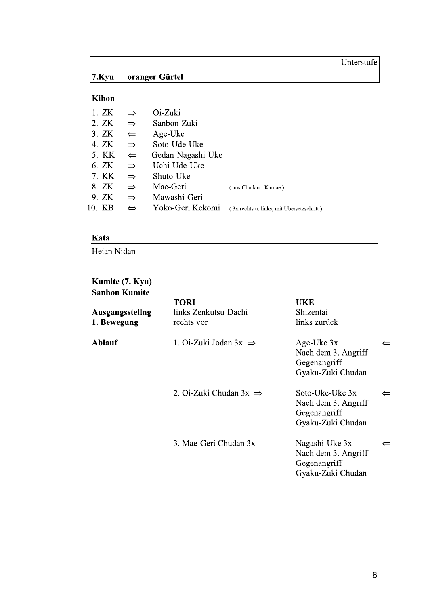### Unterstufe

#### $7.$ Kyu oranger Gürtel

### Kihon

| 1. ZK  | $\Rightarrow$     | Oi-Zuki           |                                           |
|--------|-------------------|-------------------|-------------------------------------------|
|        |                   |                   |                                           |
| 2. ZK  | $\Rightarrow$     | Sanbon-Zuki       |                                           |
| 3. ZK  | $\leftarrow$      | Age-Uke           |                                           |
| 4. ZK  | $\Rightarrow$     | Soto-Ude-Uke      |                                           |
| 5. KK  | $\leftarrow$      | Gedan-Nagashi-Uke |                                           |
| 6. ZK  | $\Rightarrow$     | Uchi-Ude-Uke      |                                           |
| 7. KK  | $\Rightarrow$     | Shuto-Uke         |                                           |
| 8. ZK  | $\Rightarrow$     | Mae-Geri          | (aus Chudan - Kamae)                      |
| 9. ZK  | $\Rightarrow$     | Mawashi-Geri      |                                           |
| 10. KB | $\Leftrightarrow$ | Yoko-Geri Kekomi  | (3x rechts u. links, mit Übersetzschritt) |
|        |                   |                   |                                           |

### Kata

Heian Nidan

# **Kumite (7. Kyu)**<br>Sanbon Kumite

| Sanbon Kumite                  |                                                   |                                                                               |              |
|--------------------------------|---------------------------------------------------|-------------------------------------------------------------------------------|--------------|
| Ausgangsstellng<br>1. Bewegung | <b>TORI</b><br>links Zenkutsu-Dachi<br>rechts vor | <b>UKE</b><br>Shizentai<br>links zurück                                       |              |
| <b>Ablauf</b>                  | 1. Oi-Zuki Jodan $3x \implies$                    | Age-Uke $3x$<br>Nach dem 3. Angriff<br>Gegenangriff<br>Gyaku-Zuki Chudan      | $\leftarrow$ |
|                                | 2. Oi-Zuki Chudan $3x \implies$                   | Soto-Uke-Uke $3x$<br>Nach dem 3. Angriff<br>Gegenangriff<br>Gyaku-Zuki Chudan | $\leftarrow$ |
|                                | 3. Mae-Geri Chudan 3x                             | Nagashi-Uke 3x<br>Nach dem 3. Angriff<br>Gegenangriff<br>Gyaku-Zuki Chudan    | $\leftarrow$ |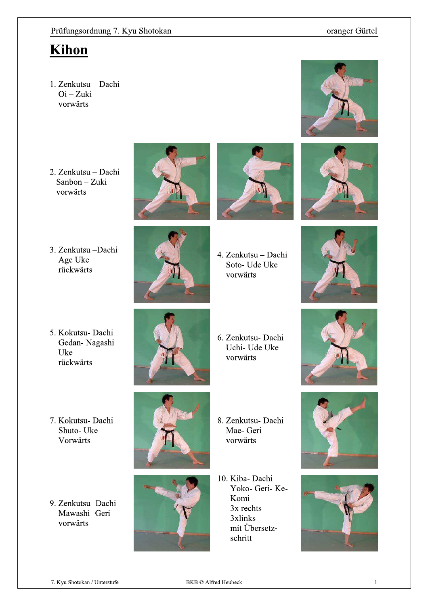### oranger Gürtel

### **Kihon**

- 1. Zenkutsu Dachi  $Oi-Zuki$ vorwärts
- 2. Zenkutsu Dachi Sanbon - Zuki vorwärts
- 3. Zenkutsu -Dachi Age Uke rückwärts
- 



- 
- 4. Zenkutsu Dachi Soto- Ude Uke vorwärts





- 5. Kokutsu- Dachi Gedan-Nagashi Uke rückwärts
- 7. Kokutsu- Dachi Shuto-Uke Vorwärts
- 9. Zenkutsu- Dachi Mawashi- Geri vorwärts



6. Zenkutsu- Dachi Uchi- Ude Uke vorwärts





- 8. Zenkutsu- Dachi Mae- Geri vorwärts
- 10. Kiba- Dachi Yoko- Geri- Ke-Komi  $3x$  rechts 3xlinks mit Übersetzschritt







 $\mathbf{1}$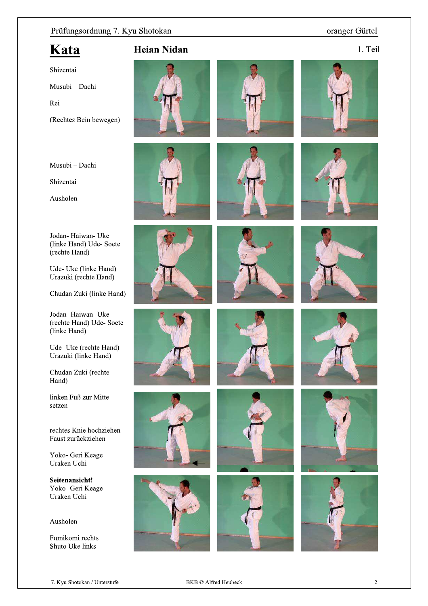### oranger Gürtel

### Kata

1. Teil

Shizentai

Musubi - Dachi

Rei

(Rechtes Bein bewegen)

Musubi - Dachi

Shizentai

Ausholen

Jodan-Haiwan-Uke (linke Hand) Ude-Soete (rechte Hand)

Ude- Uke (linke Hand) Urazuki (rechte Hand)

Chudan Zuki (linke Hand)

Jodan-Haiwan-Uke (rechte Hand) Ude-Soete (linke Hand)

Ude- Uke (rechte Hand) Urazuki (linke Hand)

Chudan Zuki (rechte Hand)

linken Fuß zur Mitte setzen

rechtes Knie hochziehen Faust zurückziehen

Yoko- Geri Keage Uraken Uchi

Seitenansicht! Yoko- Geri Keage Uraken Uchi

Ausholen

Fumikomi rechts Shuto Uke links



























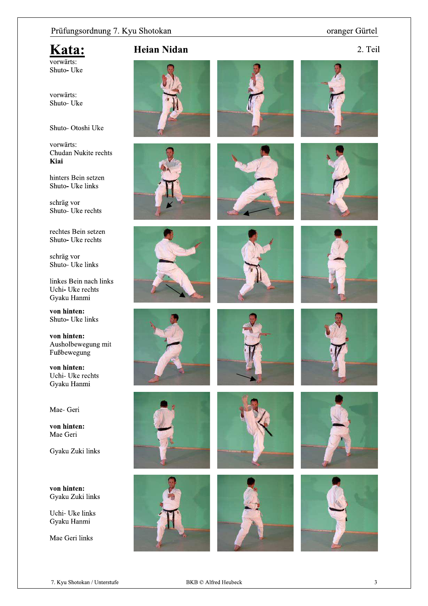### oranger Gürtel

### Kata: vorwärts:

Shuto-Uke

vorwärts: Shuto-Uke

Shuto-Otoshi Uke

vorwärts: Chudan Nukite rechts Kiai

hinters Bein setzen Shuto- Uke links

schräg vor Shuto- Uke rechts

rechtes Bein setzen Shuto- Uke rechts

schräg vor Shuto- Uke links

linkes Bein nach links Uchi- Uke rechts Gyaku Hanmi

von hinten: Shuto- Uke links

von hinten: Ausholbewegung mit Fußbewegung

von hinten: Uchi- Uke rechts Gyaku Hanmi

Mae- Geri

von hinten: Mae Geri

Gyaku Zuki links

von hinten: Gyaku Zuki links

Uchi- Uke links Gyaku Hanmi

Mae Geri links























7. Kyu Shotokan / Unterstufe

 $\overline{3}$ 









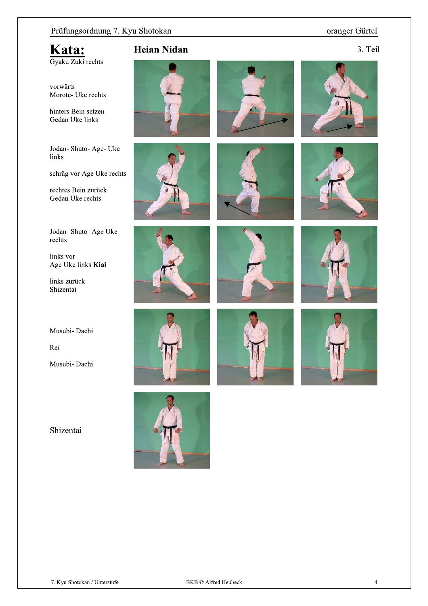### oranger Gürtel

## Kata:

Gyaku Zuki rechts

vorwärts Morote- Uke rechts

hinters Bein setzen Gedan Uke links

Jodan-Shuto-Age-Uke links

schräg vor Age Uke rechts

rechtes Bein zurück Gedan Uke rechts

Jodan-Shuto-Age Uke rechts

links vor Age Uke links Kiai

links zurück Shizentai

Musubi- Dachi

Rei

Musubi- Dachi

Shizentai

























### 3. Teil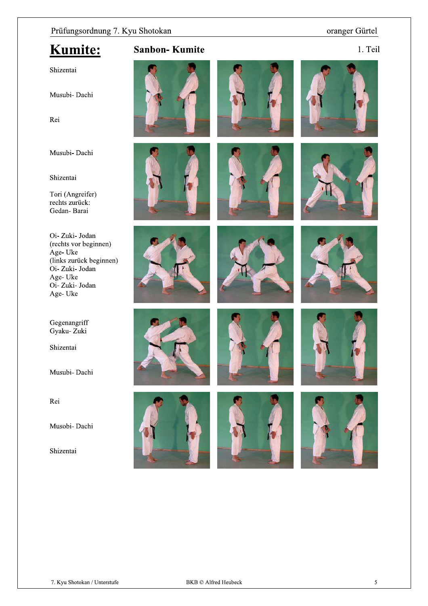### oranger Gürtel

## **Kumite:**

### **Sanbon-Kumite**

1. Teil

### Shizentai

Musubi- Dachi

Rei

Musubi- Dachi

### Shizentai

Tori (Angreifer) rechts zurück: Gedan-Barai

Oi-Zuki-Jodan (rechts vor beginnen) Age-Uke (links zurück beginnen)<br>Oi- Zuki- Jodan Age-Uke Oi-Zuki-Jodan Age-Uke

Gegenangriff Gyaku- Zuki

Shizentai

Musubi-Dachi

Rei

Musobi- Dachi

Shizentai























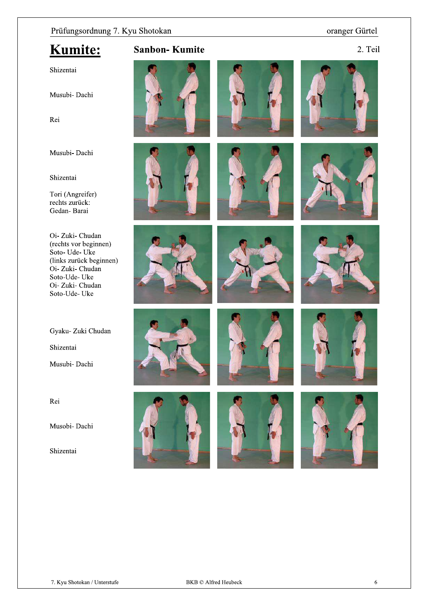### oranger Gürtel

2. Teil

## **Kumite:**

**Sanbon-Kumite** 

### Shizentai

Musubi- Dachi

Rei

Musubi- Dachi

### Shizentai

Tori (Angreifer) rechts zurück: Gedan-Barai

Oi-Zuki-Chudan (rechts vor beginnen) Soto-Ude-Uke (links zurück beginnen)<br>Oi- Zuki- Chudan Soto-Ude-Uke Oi- Zuki- Chudan Soto-Ude-Uke

Gyaku- Zuki Chudan

Shizentai

Musubi- Dachi

Rei

Musobi- Dachi

Shizentai

























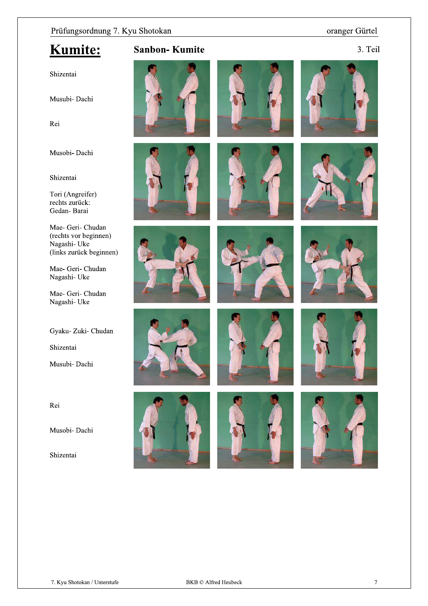### oranger Gürtel

## Kumite:

### **Sanbon-Kumite**

3. Teil

### Shizentai

Musubi- Dachi

Rei

Musobi- Dachi

#### Shizentai

Tori (Angreifer) rechts zurück: Gedan-Barai

Mae- Geri- Chudan (rechts vor beginnen) Nagashi-Uke (links zurück beginnen)

Mae- Geri- Chudan Nagashi-Uke

Mae- Geri- Chudan Nagashi-Uke

Gyaku- Zuki- Chudan

Shizentai

Musubi- Dachi

Rei

Musobi- Dachi

Shizentai